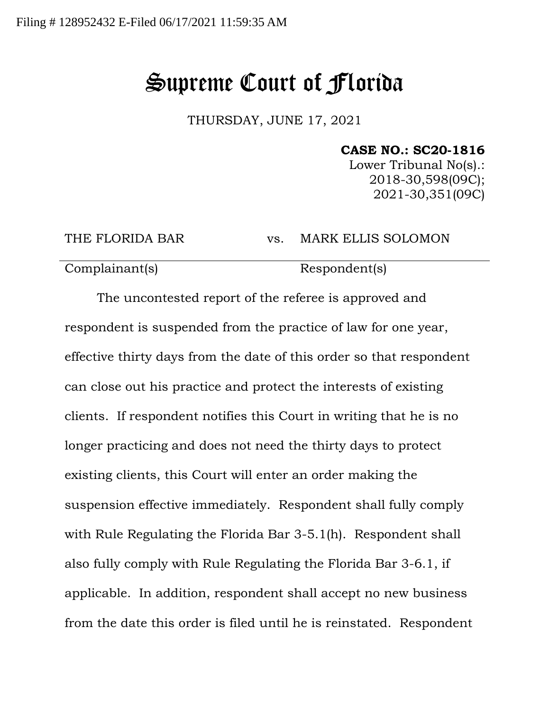## Supreme Court of Florida

THURSDAY, JUNE 17, 2021

**CASE NO.: SC20-1816**

Lower Tribunal No(s).: 2018-30,598(09C); 2021-30,351(09C)

THE FLORIDA BAR vs. MARK ELLIS SOLOMON

Complainant(s) Respondent(s)

The uncontested report of the referee is approved and respondent is suspended from the practice of law for one year, effective thirty days from the date of this order so that respondent can close out his practice and protect the interests of existing clients. If respondent notifies this Court in writing that he is no longer practicing and does not need the thirty days to protect existing clients, this Court will enter an order making the suspension effective immediately. Respondent shall fully comply with Rule Regulating the Florida Bar 3-5.1(h). Respondent shall also fully comply with Rule Regulating the Florida Bar 3-6.1, if applicable. In addition, respondent shall accept no new business from the date this order is filed until he is reinstated. Respondent